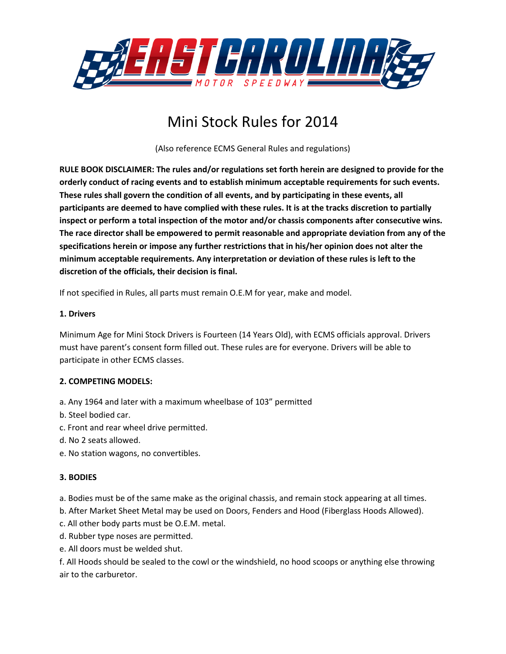

# Mini Stock Rules for 2014

(Also reference ECMS General Rules and regulations)

**RULE BOOK DISCLAIMER: The rules and/or regulations set forth herein are designed to provide for the orderly conduct of racing events and to establish minimum acceptable requirements for such events. These rules shall govern the condition of all events, and by participating in these events, all participants are deemed to have complied with these rules. It is at the tracks discretion to partially inspect or perform a total inspection of the motor and/or chassis components after consecutive wins. The race director shall be empowered to permit reasonable and appropriate deviation from any of the specifications herein or impose any further restrictions that in his/her opinion does not alter the minimum acceptable requirements. Any interpretation or deviation of these rules is left to the discretion of the officials, their decision is final.** 

If not specified in Rules, all parts must remain O.E.M for year, make and model.

#### **1. Drivers**

Minimum Age for Mini Stock Drivers is Fourteen (14 Years Old), with ECMS officials approval. Drivers must have parent's consent form filled out. These rules are for everyone. Drivers will be able to participate in other ECMS classes.

# **2. COMPETING MODELS:**

- a. Any 1964 and later with a maximum wheelbase of 103" permitted
- b. Steel bodied car.
- c. Front and rear wheel drive permitted.
- d. No 2 seats allowed.
- e. No station wagons, no convertibles.

# **3. BODIES**

a. Bodies must be of the same make as the original chassis, and remain stock appearing at all times.

- b. After Market Sheet Metal may be used on Doors, Fenders and Hood (Fiberglass Hoods Allowed).
- c. All other body parts must be O.E.M. metal.
- d. Rubber type noses are permitted.
- e. All doors must be welded shut.

f. All Hoods should be sealed to the cowl or the windshield, no hood scoops or anything else throwing air to the carburetor.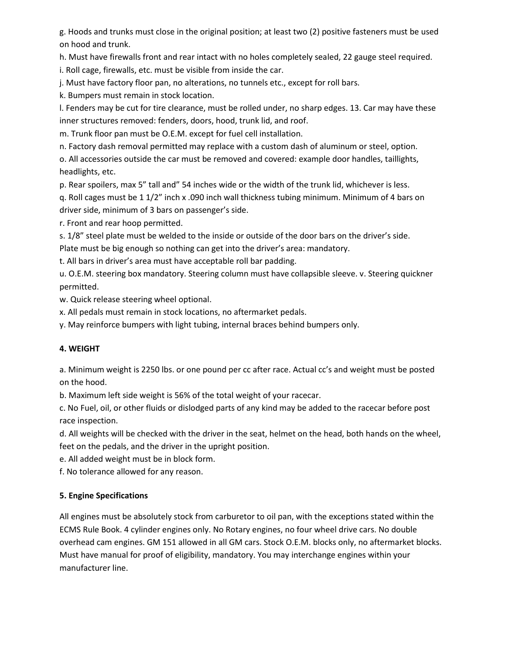g. Hoods and trunks must close in the original position; at least two (2) positive fasteners must be used on hood and trunk.

h. Must have firewalls front and rear intact with no holes completely sealed, 22 gauge steel required.

i. Roll cage, firewalls, etc. must be visible from inside the car.

j. Must have factory floor pan, no alterations, no tunnels etc., except for roll bars.

k. Bumpers must remain in stock location.

l. Fenders may be cut for tire clearance, must be rolled under, no sharp edges. 13. Car may have these inner structures removed: fenders, doors, hood, trunk lid, and roof.

m. Trunk floor pan must be O.E.M. except for fuel cell installation.

n. Factory dash removal permitted may replace with a custom dash of aluminum or steel, option.

o. All accessories outside the car must be removed and covered: example door handles, taillights, headlights, etc.

p. Rear spoilers, max 5" tall and" 54 inches wide or the width of the trunk lid, whichever is less.

q. Roll cages must be 1 1/2" inch x .090 inch wall thickness tubing minimum. Minimum of 4 bars on driver side, minimum of 3 bars on passenger's side.

r. Front and rear hoop permitted.

s. 1/8" steel plate must be welded to the inside or outside of the door bars on the driver's side.

Plate must be big enough so nothing can get into the driver's area: mandatory.

t. All bars in driver's area must have acceptable roll bar padding.

u. O.E.M. steering box mandatory. Steering column must have collapsible sleeve. v. Steering quickner permitted.

w. Quick release steering wheel optional.

x. All pedals must remain in stock locations, no aftermarket pedals.

y. May reinforce bumpers with light tubing, internal braces behind bumpers only.

# **4. WEIGHT**

a. Minimum weight is 2250 lbs. or one pound per cc after race. Actual cc's and weight must be posted on the hood.

b. Maximum left side weight is 56% of the total weight of your racecar.

c. No Fuel, oil, or other fluids or dislodged parts of any kind may be added to the racecar before post race inspection.

d. All weights will be checked with the driver in the seat, helmet on the head, both hands on the wheel, feet on the pedals, and the driver in the upright position.

e. All added weight must be in block form.

f. No tolerance allowed for any reason.

# **5. Engine Specifications**

All engines must be absolutely stock from carburetor to oil pan, with the exceptions stated within the ECMS Rule Book. 4 cylinder engines only. No Rotary engines, no four wheel drive cars. No double overhead cam engines. GM 151 allowed in all GM cars. Stock O.E.M. blocks only, no aftermarket blocks. Must have manual for proof of eligibility, mandatory. You may interchange engines within your manufacturer line.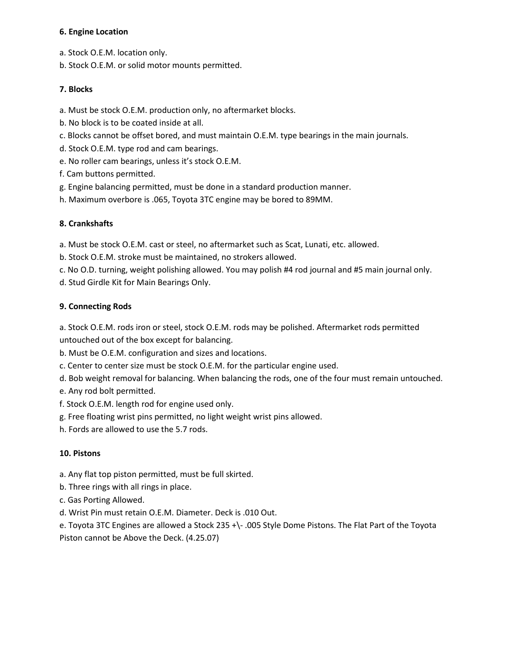#### **6. Engine Location**

- a. Stock O.E.M. location only.
- b. Stock O.E.M. or solid motor mounts permitted.

# **7. Blocks**

- a. Must be stock O.E.M. production only, no aftermarket blocks.
- b. No block is to be coated inside at all.
- c. Blocks cannot be offset bored, and must maintain O.E.M. type bearings in the main journals.
- d. Stock O.E.M. type rod and cam bearings.
- e. No roller cam bearings, unless it's stock O.E.M.
- f. Cam buttons permitted.
- g. Engine balancing permitted, must be done in a standard production manner.
- h. Maximum overbore is .065, Toyota 3TC engine may be bored to 89MM.

# **8. Crankshafts**

a. Must be stock O.E.M. cast or steel, no aftermarket such as Scat, Lunati, etc. allowed.

- b. Stock O.E.M. stroke must be maintained, no strokers allowed.
- c. No O.D. turning, weight polishing allowed. You may polish #4 rod journal and #5 main journal only.
- d. Stud Girdle Kit for Main Bearings Only.

# **9. Connecting Rods**

a. Stock O.E.M. rods iron or steel, stock O.E.M. rods may be polished. Aftermarket rods permitted untouched out of the box except for balancing.

- b. Must be O.E.M. configuration and sizes and locations.
- c. Center to center size must be stock O.E.M. for the particular engine used.
- d. Bob weight removal for balancing. When balancing the rods, one of the four must remain untouched.
- e. Any rod bolt permitted.
- f. Stock O.E.M. length rod for engine used only.
- g. Free floating wrist pins permitted, no light weight wrist pins allowed.
- h. Fords are allowed to use the 5.7 rods.

# **10. Pistons**

- a. Any flat top piston permitted, must be full skirted.
- b. Three rings with all rings in place.
- c. Gas Porting Allowed.
- d. Wrist Pin must retain O.E.M. Diameter. Deck is .010 Out.

e. Toyota 3TC Engines are allowed a Stock 235 +\- .005 Style Dome Pistons. The Flat Part of the Toyota Piston cannot be Above the Deck. (4.25.07)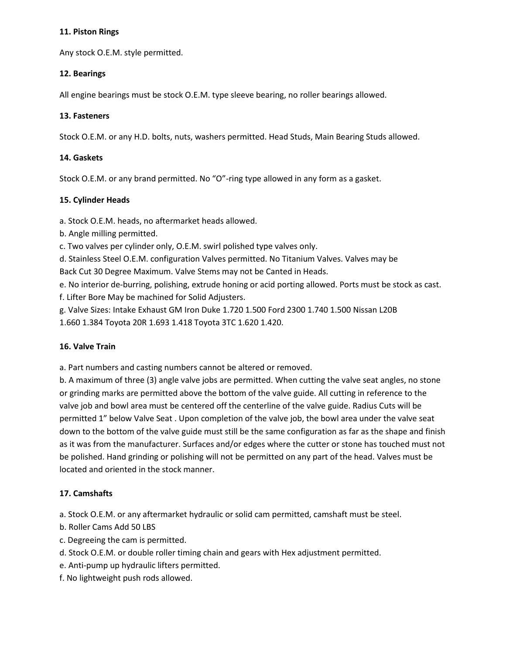#### **11. Piston Rings**

Any stock O.E.M. style permitted.

#### **12. Bearings**

All engine bearings must be stock O.E.M. type sleeve bearing, no roller bearings allowed.

#### **13. Fasteners**

Stock O.E.M. or any H.D. bolts, nuts, washers permitted. Head Studs, Main Bearing Studs allowed.

#### **14. Gaskets**

Stock O.E.M. or any brand permitted. No "O"-ring type allowed in any form as a gasket.

#### **15. Cylinder Heads**

a. Stock O.E.M. heads, no aftermarket heads allowed.

b. Angle milling permitted.

c. Two valves per cylinder only, O.E.M. swirl polished type valves only.

d. Stainless Steel O.E.M. configuration Valves permitted. No Titanium Valves. Valves may be

Back Cut 30 Degree Maximum. Valve Stems may not be Canted in Heads.

- e. No interior de-burring, polishing, extrude honing or acid porting allowed. Ports must be stock as cast. f. Lifter Bore May be machined for Solid Adjusters.
- g. Valve Sizes: Intake Exhaust GM Iron Duke 1.720 1.500 Ford 2300 1.740 1.500 Nissan L20B

1.660 1.384 Toyota 20R 1.693 1.418 Toyota 3TC 1.620 1.420.

#### **16. Valve Train**

a. Part numbers and casting numbers cannot be altered or removed.

b. A maximum of three (3) angle valve jobs are permitted. When cutting the valve seat angles, no stone or grinding marks are permitted above the bottom of the valve guide. All cutting in reference to the valve job and bowl area must be centered off the centerline of the valve guide. Radius Cuts will be permitted 1" below Valve Seat . Upon completion of the valve job, the bowl area under the valve seat down to the bottom of the valve guide must still be the same configuration as far as the shape and finish as it was from the manufacturer. Surfaces and/or edges where the cutter or stone has touched must not be polished. Hand grinding or polishing will not be permitted on any part of the head. Valves must be located and oriented in the stock manner.

# **17. Camshafts**

a. Stock O.E.M. or any aftermarket hydraulic or solid cam permitted, camshaft must be steel.

- b. Roller Cams Add 50 LBS
- c. Degreeing the cam is permitted.
- d. Stock O.E.M. or double roller timing chain and gears with Hex adjustment permitted.
- e. Anti-pump up hydraulic lifters permitted.
- f. No lightweight push rods allowed.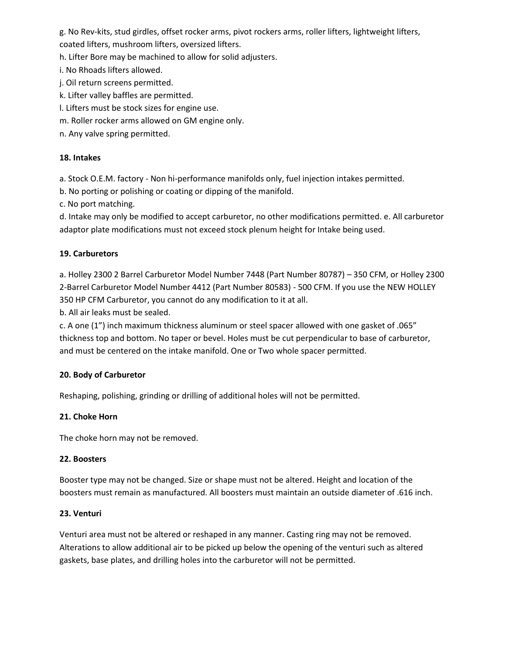g. No Rev-kits, stud girdles, offset rocker arms, pivot rockers arms, roller lifters, lightweight lifters, coated lifters, mushroom lifters, oversized lifters.

h. Lifter Bore may be machined to allow for solid adjusters.

i. No Rhoads lifters allowed.

j. Oil return screens permitted.

k. Lifter valley baffles are permitted.

l. Lifters must be stock sizes for engine use.

m. Roller rocker arms allowed on GM engine only.

n. Any valve spring permitted.

# **18. Intakes**

a. Stock O.E.M. factory - Non hi-performance manifolds only, fuel injection intakes permitted.

b. No porting or polishing or coating or dipping of the manifold.

c. No port matching.

d. Intake may only be modified to accept carburetor, no other modifications permitted. e. All carburetor adaptor plate modifications must not exceed stock plenum height for Intake being used.

# **19. Carburetors**

a. Holley 2300 2 Barrel Carburetor Model Number 7448 (Part Number 80787) – 350 CFM, or Holley 2300 2-Barrel Carburetor Model Number 4412 (Part Number 80583) - 500 CFM. If you use the NEW HOLLEY 350 HP CFM Carburetor, you cannot do any modification to it at all.

b. All air leaks must be sealed.

c. A one (1") inch maximum thickness aluminum or steel spacer allowed with one gasket of .065" thickness top and bottom. No taper or bevel. Holes must be cut perpendicular to base of carburetor, and must be centered on the intake manifold. One or Two whole spacer permitted.

# **20. Body of Carburetor**

Reshaping, polishing, grinding or drilling of additional holes will not be permitted.

# **21. Choke Horn**

The choke horn may not be removed.

# **22. Boosters**

Booster type may not be changed. Size or shape must not be altered. Height and location of the boosters must remain as manufactured. All boosters must maintain an outside diameter of .616 inch.

# **23. Venturi**

Venturi area must not be altered or reshaped in any manner. Casting ring may not be removed. Alterations to allow additional air to be picked up below the opening of the venturi such as altered gaskets, base plates, and drilling holes into the carburetor will not be permitted.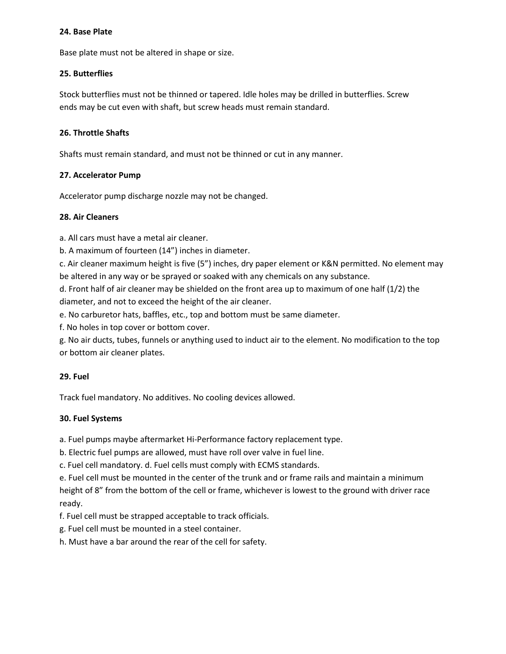#### **24. Base Plate**

Base plate must not be altered in shape or size.

#### **25. Butterflies**

Stock butterflies must not be thinned or tapered. Idle holes may be drilled in butterflies. Screw ends may be cut even with shaft, but screw heads must remain standard.

#### **26. Throttle Shafts**

Shafts must remain standard, and must not be thinned or cut in any manner.

#### **27. Accelerator Pump**

Accelerator pump discharge nozzle may not be changed.

#### **28. Air Cleaners**

a. All cars must have a metal air cleaner.

b. A maximum of fourteen (14") inches in diameter.

c. Air cleaner maximum height is five (5") inches, dry paper element or K&N permitted. No element may be altered in any way or be sprayed or soaked with any chemicals on any substance.

d. Front half of air cleaner may be shielded on the front area up to maximum of one half (1/2) the diameter, and not to exceed the height of the air cleaner.

e. No carburetor hats, baffles, etc., top and bottom must be same diameter.

f. No holes in top cover or bottom cover.

g. No air ducts, tubes, funnels or anything used to induct air to the element. No modification to the top or bottom air cleaner plates.

# **29. Fuel**

Track fuel mandatory. No additives. No cooling devices allowed.

# **30. Fuel Systems**

a. Fuel pumps maybe aftermarket Hi-Performance factory replacement type.

b. Electric fuel pumps are allowed, must have roll over valve in fuel line.

c. Fuel cell mandatory. d. Fuel cells must comply with ECMS standards.

e. Fuel cell must be mounted in the center of the trunk and or frame rails and maintain a minimum height of 8" from the bottom of the cell or frame, whichever is lowest to the ground with driver race ready.

f. Fuel cell must be strapped acceptable to track officials.

g. Fuel cell must be mounted in a steel container.

h. Must have a bar around the rear of the cell for safety.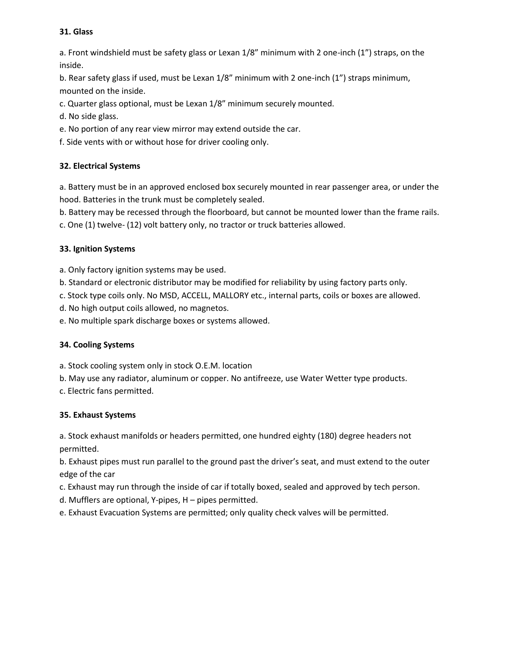#### **31. Glass**

a. Front windshield must be safety glass or Lexan 1/8" minimum with 2 one-inch (1") straps, on the inside.

b. Rear safety glass if used, must be Lexan 1/8" minimum with 2 one-inch (1") straps minimum, mounted on the inside.

c. Quarter glass optional, must be Lexan 1/8" minimum securely mounted.

- d. No side glass.
- e. No portion of any rear view mirror may extend outside the car.

f. Side vents with or without hose for driver cooling only.

# **32. Electrical Systems**

a. Battery must be in an approved enclosed box securely mounted in rear passenger area, or under the hood. Batteries in the trunk must be completely sealed.

b. Battery may be recessed through the floorboard, but cannot be mounted lower than the frame rails.

c. One (1) twelve- (12) volt battery only, no tractor or truck batteries allowed.

# **33. Ignition Systems**

a. Only factory ignition systems may be used.

b. Standard or electronic distributor may be modified for reliability by using factory parts only.

c. Stock type coils only. No MSD, ACCELL, MALLORY etc., internal parts, coils or boxes are allowed.

d. No high output coils allowed, no magnetos.

e. No multiple spark discharge boxes or systems allowed.

# **34. Cooling Systems**

a. Stock cooling system only in stock O.E.M. location

b. May use any radiator, aluminum or copper. No antifreeze, use Water Wetter type products.

c. Electric fans permitted.

# **35. Exhaust Systems**

a. Stock exhaust manifolds or headers permitted, one hundred eighty (180) degree headers not permitted.

b. Exhaust pipes must run parallel to the ground past the driver's seat, and must extend to the outer edge of the car

c. Exhaust may run through the inside of car if totally boxed, sealed and approved by tech person.

d. Mufflers are optional, Y-pipes, H – pipes permitted.

e. Exhaust Evacuation Systems are permitted; only quality check valves will be permitted.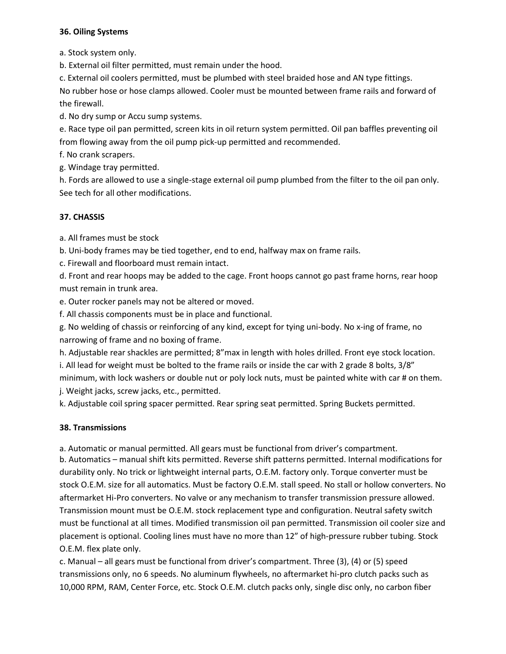#### **36. Oiling Systems**

a. Stock system only.

b. External oil filter permitted, must remain under the hood.

c. External oil coolers permitted, must be plumbed with steel braided hose and AN type fittings.

No rubber hose or hose clamps allowed. Cooler must be mounted between frame rails and forward of the firewall.

d. No dry sump or Accu sump systems.

e. Race type oil pan permitted, screen kits in oil return system permitted. Oil pan baffles preventing oil from flowing away from the oil pump pick-up permitted and recommended.

f. No crank scrapers.

g. Windage tray permitted.

h. Fords are allowed to use a single-stage external oil pump plumbed from the filter to the oil pan only. See tech for all other modifications.

# **37. CHASSIS**

a. All frames must be stock

b. Uni-body frames may be tied together, end to end, halfway max on frame rails.

c. Firewall and floorboard must remain intact.

d. Front and rear hoops may be added to the cage. Front hoops cannot go past frame horns, rear hoop must remain in trunk area.

e. Outer rocker panels may not be altered or moved.

f. All chassis components must be in place and functional.

g. No welding of chassis or reinforcing of any kind, except for tying uni-body. No x-ing of frame, no narrowing of frame and no boxing of frame.

h. Adjustable rear shackles are permitted; 8"max in length with holes drilled. Front eye stock location. i. All lead for weight must be bolted to the frame rails or inside the car with 2 grade 8 bolts, 3/8" minimum, with lock washers or double nut or poly lock nuts, must be painted white with car # on them. j. Weight jacks, screw jacks, etc., permitted.

k. Adjustable coil spring spacer permitted. Rear spring seat permitted. Spring Buckets permitted.

# **38. Transmissions**

a. Automatic or manual permitted. All gears must be functional from driver's compartment.

b. Automatics – manual shift kits permitted. Reverse shift patterns permitted. Internal modifications for durability only. No trick or lightweight internal parts, O.E.M. factory only. Torque converter must be stock O.E.M. size for all automatics. Must be factory O.E.M. stall speed. No stall or hollow converters. No aftermarket Hi-Pro converters. No valve or any mechanism to transfer transmission pressure allowed. Transmission mount must be O.E.M. stock replacement type and configuration. Neutral safety switch must be functional at all times. Modified transmission oil pan permitted. Transmission oil cooler size and placement is optional. Cooling lines must have no more than 12" of high-pressure rubber tubing. Stock O.E.M. flex plate only.

c. Manual – all gears must be functional from driver's compartment. Three (3), (4) or (5) speed transmissions only, no 6 speeds. No aluminum flywheels, no aftermarket hi-pro clutch packs such as 10,000 RPM, RAM, Center Force, etc. Stock O.E.M. clutch packs only, single disc only, no carbon fiber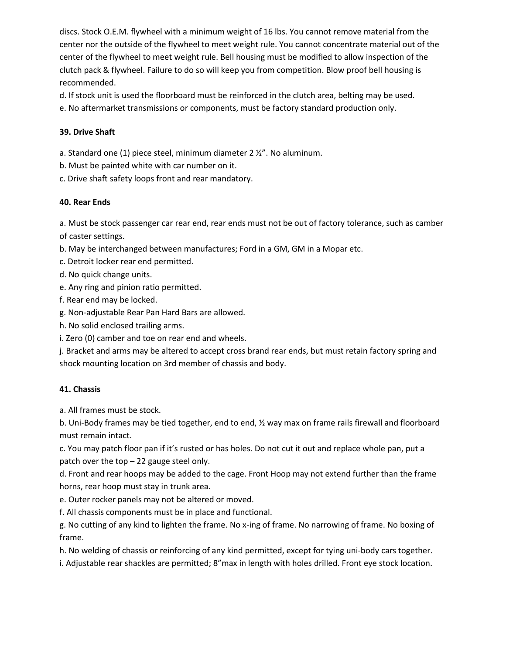discs. Stock O.E.M. flywheel with a minimum weight of 16 lbs. You cannot remove material from the center nor the outside of the flywheel to meet weight rule. You cannot concentrate material out of the center of the flywheel to meet weight rule. Bell housing must be modified to allow inspection of the clutch pack & flywheel. Failure to do so will keep you from competition. Blow proof bell housing is recommended.

d. If stock unit is used the floorboard must be reinforced in the clutch area, belting may be used.

e. No aftermarket transmissions or components, must be factory standard production only.

# **39. Drive Shaft**

a. Standard one (1) piece steel, minimum diameter 2 ½". No aluminum.

b. Must be painted white with car number on it.

c. Drive shaft safety loops front and rear mandatory.

# **40. Rear Ends**

a. Must be stock passenger car rear end, rear ends must not be out of factory tolerance, such as camber of caster settings.

b. May be interchanged between manufactures; Ford in a GM, GM in a Mopar etc.

c. Detroit locker rear end permitted.

d. No quick change units.

e. Any ring and pinion ratio permitted.

f. Rear end may be locked.

g. Non-adjustable Rear Pan Hard Bars are allowed.

h. No solid enclosed trailing arms.

i. Zero (0) camber and toe on rear end and wheels.

j. Bracket and arms may be altered to accept cross brand rear ends, but must retain factory spring and shock mounting location on 3rd member of chassis and body.

# **41. Chassis**

a. All frames must be stock.

b. Uni-Body frames may be tied together, end to end, ½ way max on frame rails firewall and floorboard must remain intact.

c. You may patch floor pan if it's rusted or has holes. Do not cut it out and replace whole pan, put a patch over the top – 22 gauge steel only.

d. Front and rear hoops may be added to the cage. Front Hoop may not extend further than the frame horns, rear hoop must stay in trunk area.

e. Outer rocker panels may not be altered or moved.

f. All chassis components must be in place and functional.

g. No cutting of any kind to lighten the frame. No x-ing of frame. No narrowing of frame. No boxing of frame.

h. No welding of chassis or reinforcing of any kind permitted, except for tying uni-body cars together.

i. Adjustable rear shackles are permitted; 8"max in length with holes drilled. Front eye stock location.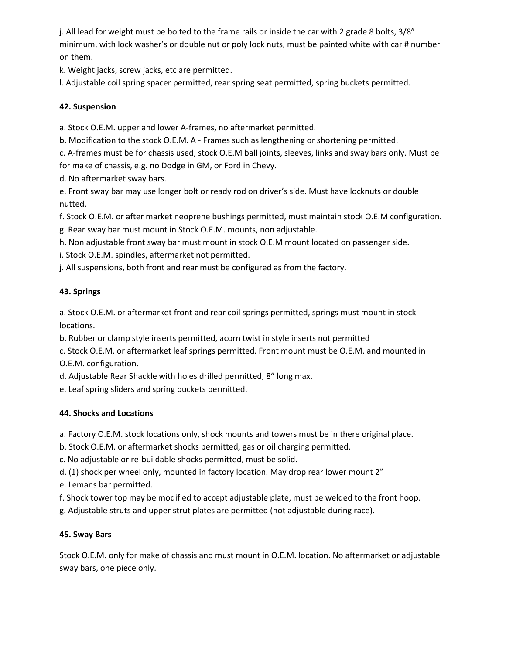j. All lead for weight must be bolted to the frame rails or inside the car with 2 grade 8 bolts, 3/8" minimum, with lock washer's or double nut or poly lock nuts, must be painted white with car # number on them.

k. Weight jacks, screw jacks, etc are permitted.

l. Adjustable coil spring spacer permitted, rear spring seat permitted, spring buckets permitted.

# **42. Suspension**

a. Stock O.E.M. upper and lower A-frames, no aftermarket permitted.

b. Modification to the stock O.E.M. A - Frames such as lengthening or shortening permitted.

c. A-frames must be for chassis used, stock O.E.M ball joints, sleeves, links and sway bars only. Must be for make of chassis, e.g. no Dodge in GM, or Ford in Chevy.

d. No aftermarket sway bars.

e. Front sway bar may use longer bolt or ready rod on driver's side. Must have locknuts or double nutted.

f. Stock O.E.M. or after market neoprene bushings permitted, must maintain stock O.E.M configuration. g. Rear sway bar must mount in Stock O.E.M. mounts, non adjustable.

h. Non adjustable front sway bar must mount in stock O.E.M mount located on passenger side.

i. Stock O.E.M. spindles, aftermarket not permitted.

j. All suspensions, both front and rear must be configured as from the factory.

# **43. Springs**

a. Stock O.E.M. or aftermarket front and rear coil springs permitted, springs must mount in stock locations.

b. Rubber or clamp style inserts permitted, acorn twist in style inserts not permitted

c. Stock O.E.M. or aftermarket leaf springs permitted. Front mount must be O.E.M. and mounted in O.E.M. configuration.

d. Adjustable Rear Shackle with holes drilled permitted, 8" long max.

e. Leaf spring sliders and spring buckets permitted.

# **44. Shocks and Locations**

a. Factory O.E.M. stock locations only, shock mounts and towers must be in there original place.

b. Stock O.E.M. or aftermarket shocks permitted, gas or oil charging permitted.

c. No adjustable or re-buildable shocks permitted, must be solid.

d. (1) shock per wheel only, mounted in factory location. May drop rear lower mount 2"

e. Lemans bar permitted.

f. Shock tower top may be modified to accept adjustable plate, must be welded to the front hoop.

g. Adjustable struts and upper strut plates are permitted (not adjustable during race).

# **45. Sway Bars**

Stock O.E.M. only for make of chassis and must mount in O.E.M. location. No aftermarket or adjustable sway bars, one piece only.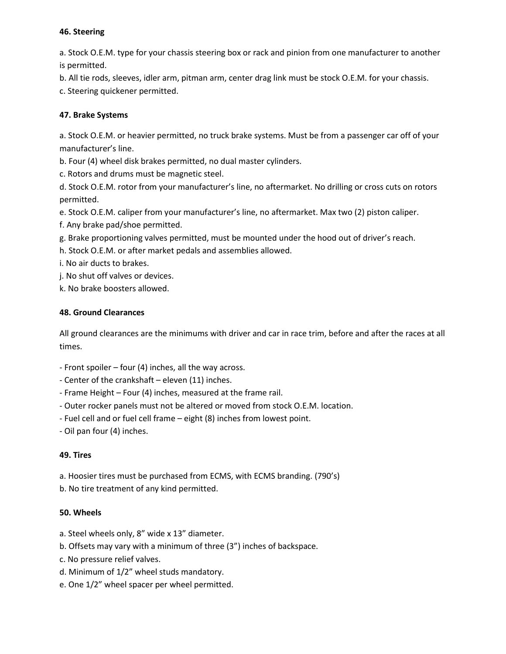#### **46. Steering**

a. Stock O.E.M. type for your chassis steering box or rack and pinion from one manufacturer to another is permitted.

b. All tie rods, sleeves, idler arm, pitman arm, center drag link must be stock O.E.M. for your chassis.

c. Steering quickener permitted.

# **47. Brake Systems**

a. Stock O.E.M. or heavier permitted, no truck brake systems. Must be from a passenger car off of your manufacturer's line.

b. Four (4) wheel disk brakes permitted, no dual master cylinders.

c. Rotors and drums must be magnetic steel.

d. Stock O.E.M. rotor from your manufacturer's line, no aftermarket. No drilling or cross cuts on rotors permitted.

e. Stock O.E.M. caliper from your manufacturer's line, no aftermarket. Max two (2) piston caliper.

f. Any brake pad/shoe permitted.

g. Brake proportioning valves permitted, must be mounted under the hood out of driver's reach.

h. Stock O.E.M. or after market pedals and assemblies allowed.

i. No air ducts to brakes.

j. No shut off valves or devices.

k. No brake boosters allowed.

# **48. Ground Clearances**

All ground clearances are the minimums with driver and car in race trim, before and after the races at all times.

- Front spoiler four (4) inches, all the way across.
- Center of the crankshaft eleven (11) inches.
- Frame Height Four (4) inches, measured at the frame rail.
- Outer rocker panels must not be altered or moved from stock O.E.M. location.
- Fuel cell and or fuel cell frame eight (8) inches from lowest point.
- Oil pan four (4) inches.

# **49. Tires**

a. Hoosier tires must be purchased from ECMS, with ECMS branding. (790's)

b. No tire treatment of any kind permitted.

# **50. Wheels**

- a. Steel wheels only, 8" wide x 13" diameter.
- b. Offsets may vary with a minimum of three (3") inches of backspace.
- c. No pressure relief valves.
- d. Minimum of 1/2" wheel studs mandatory.
- e. One 1/2" wheel spacer per wheel permitted.